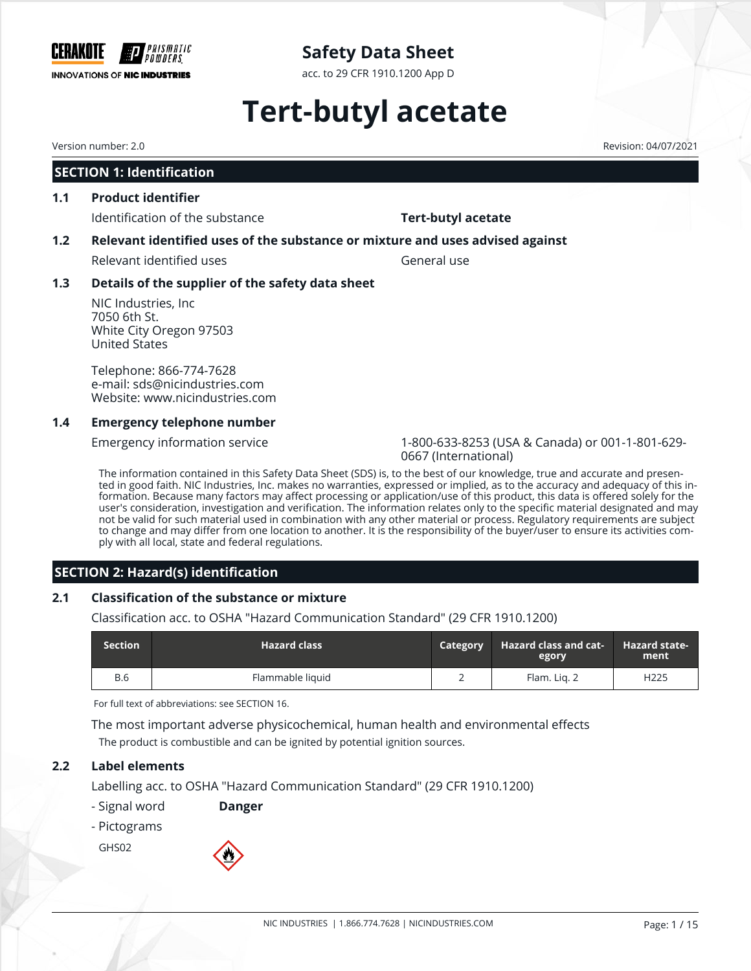

acc. to 29 CFR 1910.1200 App D

# **Tert-butyl acetate**

Version number: 2.0 Revision: 04/07/2021

#### **SECTION 1: Identification**

**1.1 Product identifier**

Identification of the substance **Tert-butyl acetate** 

### **1.2 Relevant identified uses of the substance or mixture and uses advised against**

Relevant identified uses General use

### **1.3 Details of the supplier of the safety data sheet**

NIC Industries, Inc 7050 6th St. White City Oregon 97503 United States

Telephone: 866-774-7628 e-mail: sds@nicindustries.com Website: www.nicindustries.com

### **1.4 Emergency telephone number**

Emergency information service 1-800-633-8253 (USA & Canada) or 001-1-801-629- 0667 (International)

The information contained in this Safety Data Sheet (SDS) is, to the best of our knowledge, true and accurate and presented in good faith. NIC Industries, Inc. makes no warranties, expressed or implied, as to the accuracy and adequacy of this information. Because many factors may affect processing or application/use of this product, this data is offered solely for the user's consideration, investigation and verification. The information relates only to the specific material designated and may not be valid for such material used in combination with any other material or process. Regulatory requirements are subject to change and may differ from one location to another. It is the responsibility of the buyer/user to ensure its activities comply with all local, state and federal regulations.

### **SECTION 2: Hazard(s) identification**

#### **2.1 Classification of the substance or mixture**

Classification acc. to OSHA "Hazard Communication Standard" (29 CFR 1910.1200)

| <b>Section</b> | <b>Hazard class</b> | <b>Category</b> | <b>Hazard class and cat-</b><br>egory | <b>Hazard state-</b><br>ment |
|----------------|---------------------|-----------------|---------------------------------------|------------------------------|
| <b>B.6</b>     | Flammable liquid    |                 | Flam. Lig. 2                          | H <sub>225</sub>             |

For full text of abbreviations: see SECTION 16.

The most important adverse physicochemical, human health and environmental effects The product is combustible and can be ignited by potential ignition sources.

### **2.2 Label elements**

Labelling acc. to OSHA "Hazard Communication Standard" (29 CFR 1910.1200)

- Signal word **Danger**
- Pictograms

GHS02

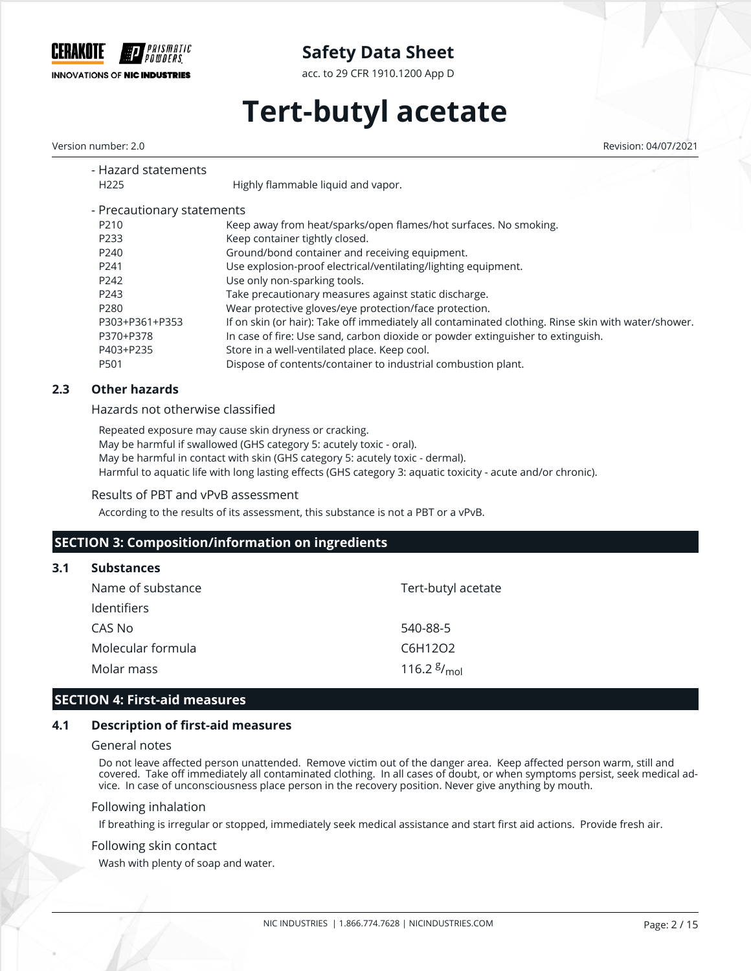

acc. to 29 CFR 1910.1200 App D

# **Tert-butyl acetate**

Version number: 2.0 Revision: 04/07/2021

| - Hazard statements<br>H <sub>225</sub> | Highly flammable liquid and vapor.                                                                  |
|-----------------------------------------|-----------------------------------------------------------------------------------------------------|
|                                         |                                                                                                     |
| - Precautionary statements              |                                                                                                     |
| P210                                    | Keep away from heat/sparks/open flames/hot surfaces. No smoking.                                    |
| P233                                    | Keep container tightly closed.                                                                      |
| P240                                    | Ground/bond container and receiving equipment.                                                      |
| P241                                    | Use explosion-proof electrical/ventilating/lighting equipment.                                      |
| P242                                    | Use only non-sparking tools.                                                                        |
| P243                                    | Take precautionary measures against static discharge.                                               |
| P <sub>280</sub>                        | Wear protective gloves/eye protection/face protection.                                              |
| P303+P361+P353                          | If on skin (or hair): Take off immediately all contaminated clothing. Rinse skin with water/shower. |
| P370+P378                               | In case of fire: Use sand, carbon dioxide or powder extinguisher to extinguish.                     |
| P403+P235                               | Store in a well-ventilated place. Keep cool.                                                        |
| P501                                    | Dispose of contents/container to industrial combustion plant.                                       |

#### **2.3 Other hazards**

Hazards not otherwise classified

Repeated exposure may cause skin dryness or cracking. May be harmful if swallowed (GHS category 5: acutely toxic - oral). May be harmful in contact with skin (GHS category 5: acutely toxic - dermal). Harmful to aquatic life with long lasting effects (GHS category 3: aquatic toxicity - acute and/or chronic).

Results of PBT and vPvB assessment

According to the results of its assessment, this substance is not a PBT or a vPvB.

### **SECTION 3: Composition/information on ingredients**

| 3.1 Substances     |
|--------------------|
| Name of substance  |
| <b>Identifiers</b> |

| identifiers.      |                                    |
|-------------------|------------------------------------|
| CAS No            | 540-88-5                           |
| Molecular formula | C6H12O2                            |
| Molar mass        | 116.2 $\frac{g}{m}$ <sub>mol</sub> |

#### **SECTION 4: First-aid measures**

#### **4.1 Description of first-aid measures**

#### General notes

Do not leave affected person unattended. Remove victim out of the danger area. Keep affected person warm, still and covered. Take off immediately all contaminated clothing. In all cases of doubt, or when symptoms persist, seek medical advice. In case of unconsciousness place person in the recovery position. Never give anything by mouth.

Tert-butyl acetate

#### Following inhalation

If breathing is irregular or stopped, immediately seek medical assistance and start first aid actions. Provide fresh air.

#### Following skin contact

Wash with plenty of soap and water.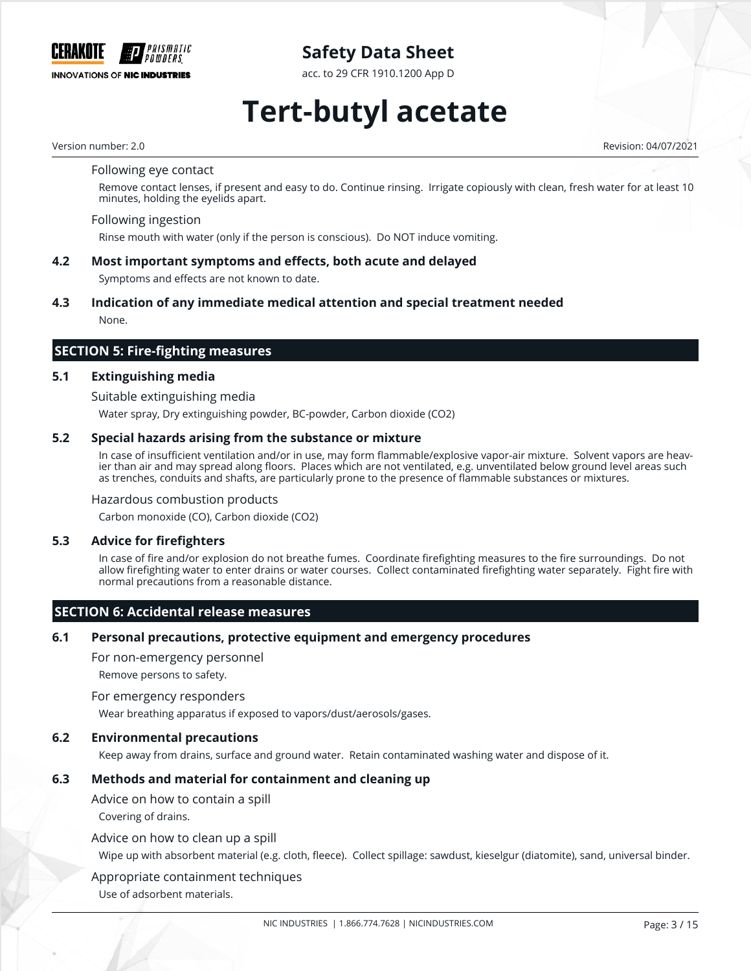

acc. to 29 CFR 1910.1200 App D

# **Tert-butyl acetate**

Version number: 2.0 Revision: 04/07/2021

Following eye contact

Remove contact lenses, if present and easy to do. Continue rinsing. Irrigate copiously with clean, fresh water for at least 10 minutes, holding the eyelids apart.

Following ingestion

Rinse mouth with water (only if the person is conscious). Do NOT induce vomiting.

#### **4.2 Most important symptoms and effects, both acute and delayed**

Symptoms and effects are not known to date.

#### **4.3 Indication of any immediate medical attention and special treatment needed**

None.

### **SECTION 5: Fire-fighting measures**

#### **5.1 Extinguishing media**

Suitable extinguishing media

Water spray, Dry extinguishing powder, BC-powder, Carbon dioxide (CO2)

#### **5.2 Special hazards arising from the substance or mixture**

In case of insufficient ventilation and/or in use, may form flammable/explosive vapor-air mixture. Solvent vapors are heavier than air and may spread along floors. Places which are not ventilated, e.g. unventilated below ground level areas such as trenches, conduits and shafts, are particularly prone to the presence of flammable substances or mixtures.

#### Hazardous combustion products

Carbon monoxide (CO), Carbon dioxide (CO2)

#### **5.3 Advice for firefighters**

In case of fire and/or explosion do not breathe fumes. Coordinate firefighting measures to the fire surroundings. Do not allow firefighting water to enter drains or water courses. Collect contaminated firefighting water separately. Fight fire with normal precautions from a reasonable distance.

#### **SECTION 6: Accidental release measures**

#### **6.1 Personal precautions, protective equipment and emergency procedures**

For non-emergency personnel

Remove persons to safety.

#### For emergency responders

Wear breathing apparatus if exposed to vapors/dust/aerosols/gases.

#### **6.2 Environmental precautions**

Keep away from drains, surface and ground water. Retain contaminated washing water and dispose of it.

#### **6.3 Methods and material for containment and cleaning up**

Advice on how to contain a spill

Covering of drains.

#### Advice on how to clean up a spill

Wipe up with absorbent material (e.g. cloth, fleece). Collect spillage: sawdust, kieselgur (diatomite), sand, universal binder.

#### Appropriate containment techniques

Use of adsorbent materials.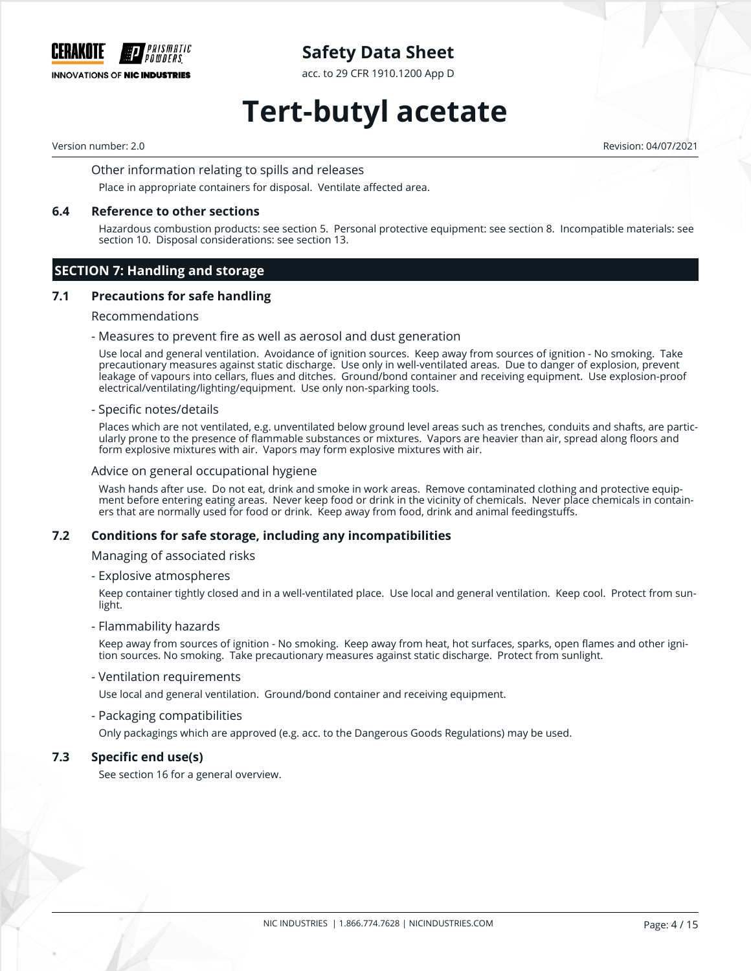

acc. to 29 CFR 1910.1200 App D

# **Tert-butyl acetate**

Version number: 2.0 Revision: 04/07/2021

Other information relating to spills and releases

Place in appropriate containers for disposal. Ventilate affected area.

#### **6.4 Reference to other sections**

Hazardous combustion products: see section 5. Personal protective equipment: see section 8. Incompatible materials: see section 10. Disposal considerations: see section 13.

#### **SECTION 7: Handling and storage**

#### **7.1 Precautions for safe handling**

#### Recommendations

#### - Measures to prevent fire as well as aerosol and dust generation

Use local and general ventilation. Avoidance of ignition sources. Keep away from sources of ignition - No smoking. Take precautionary measures against static discharge. Use only in well-ventilated areas. Due to danger of explosion, prevent leakage of vapours into cellars, flues and ditches. Ground/bond container and receiving equipment. Use explosion-proof electrical/ventilating/lighting/equipment. Use only non-sparking tools.

#### - Specific notes/details

Places which are not ventilated, e.g. unventilated below ground level areas such as trenches, conduits and shafts, are particularly prone to the presence of flammable substances or mixtures. Vapors are heavier than air, spread along floors and form explosive mixtures with air. Vapors may form explosive mixtures with air.

#### Advice on general occupational hygiene

Wash hands after use. Do not eat, drink and smoke in work areas. Remove contaminated clothing and protective equipment before entering eating areas. Never keep food or drink in the vicinity of chemicals. Never place chemicals in containers that are normally used for food or drink. Keep away from food, drink and animal feedingstuffs.

#### **7.2 Conditions for safe storage, including any incompatibilities**

Managing of associated risks

- Explosive atmospheres

Keep container tightly closed and in a well-ventilated place. Use local and general ventilation. Keep cool. Protect from sunlight.

#### - Flammability hazards

Keep away from sources of ignition - No smoking. Keep away from heat, hot surfaces, sparks, open flames and other ignition sources. No smoking. Take precautionary measures against static discharge. Protect from sunlight.

- Ventilation requirements

Use local and general ventilation. Ground/bond container and receiving equipment.

- Packaging compatibilities

Only packagings which are approved (e.g. acc. to the Dangerous Goods Regulations) may be used.

#### **7.3 Specific end use(s)**

See section 16 for a general overview.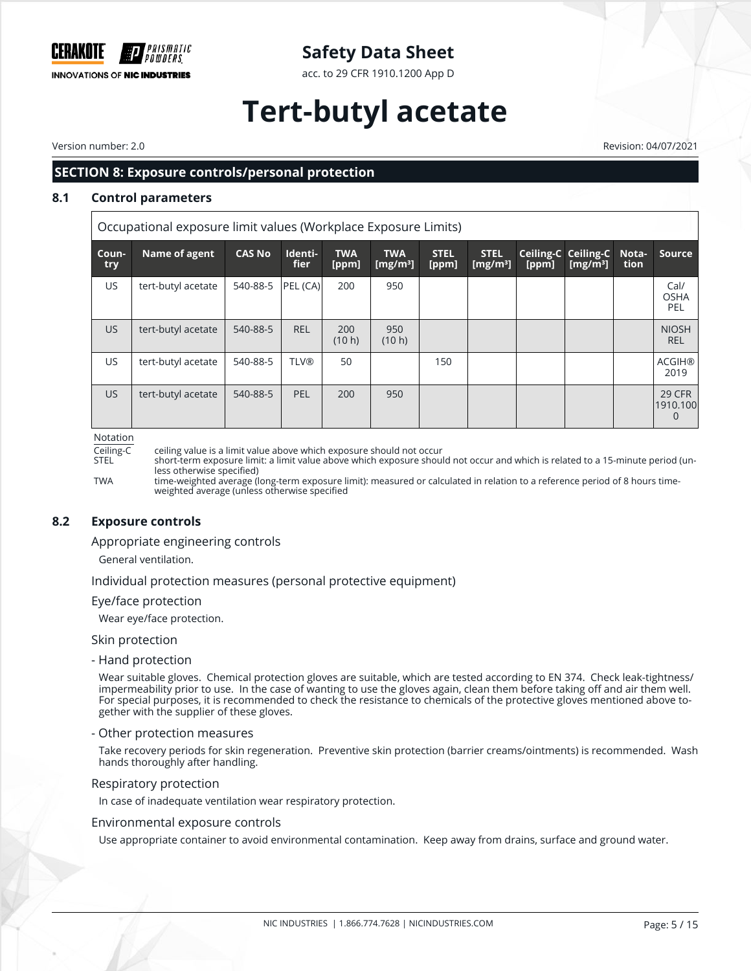

acc. to 29 CFR 1910.1200 App D

# **Tert-butyl acetate**

Version number: 2.0 Revision: 04/07/2021

### **SECTION 8: Exposure controls/personal protection**

#### **8.1 Control parameters**

Occupational exposure limit values (Workplace Exposure Limits)

| Coun-<br>try | Name of agent      | <b>CAS No</b> | Identi-<br><b>fier</b> | <b>TWA</b><br>[ppm] | <b>TWA</b><br>[ $mg/m3$ ] | <b>STEL</b><br>[ppm] | <b>STEL</b><br>$\lfloor$ [mg/m <sup>3</sup> ] | [ppm] | <b>Ceiling-C Ceiling-C</b><br>[mg/m $^{3}$ ] | Nota-<br>tion | <b>Source</b>                  |
|--------------|--------------------|---------------|------------------------|---------------------|---------------------------|----------------------|-----------------------------------------------|-------|----------------------------------------------|---------------|--------------------------------|
| US.          | tert-butyl acetate | 540-88-5      | PEL (CA)               | 200                 | 950                       |                      |                                               |       |                                              |               | Cal/<br><b>OSHA</b><br>PEL     |
| US.          | tert-butyl acetate | 540-88-5      | <b>REL</b>             | 200<br>(10 h)       | 950<br>(10 h)             |                      |                                               |       |                                              |               | <b>NIOSH</b><br><b>REL</b>     |
| US.          | tert-butyl acetate | 540-88-5      | <b>TLV®</b>            | 50                  |                           | 150                  |                                               |       |                                              |               | <b>ACGIH®</b><br>2019          |
| US.          | tert-butyl acetate | 540-88-5      | <b>PEL</b>             | 200                 | 950                       |                      |                                               |       |                                              |               | 29 CFR<br>1910.100<br>$\Omega$ |

Notation

Ceiling-C ceiling value is a limit value above which exposure should not occur

short-term exposure limit: a limit value above which exposure should not occur and which is related to a 15-minute period (unless otherwise specified)

TWA time-weighted average (long-term exposure limit): measured or calculated in relation to a reference period of 8 hours timeweighted average (unless otherwise specified

#### **8.2 Exposure controls**

Appropriate engineering controls

General ventilation.

Individual protection measures (personal protective equipment)

Eye/face protection

Wear eye/face protection.

#### Skin protection

- Hand protection

Wear suitable gloves. Chemical protection gloves are suitable, which are tested according to EN 374. Check leak-tightness/ impermeability prior to use. In the case of wanting to use the gloves again, clean them before taking off and air them well. For special purposes, it is recommended to check the resistance to chemicals of the protective gloves mentioned above together with the supplier of these gloves.

#### - Other protection measures

Take recovery periods for skin regeneration. Preventive skin protection (barrier creams/ointments) is recommended. Wash hands thoroughly after handling.

Respiratory protection

In case of inadequate ventilation wear respiratory protection.

#### Environmental exposure controls

Use appropriate container to avoid environmental contamination. Keep away from drains, surface and ground water.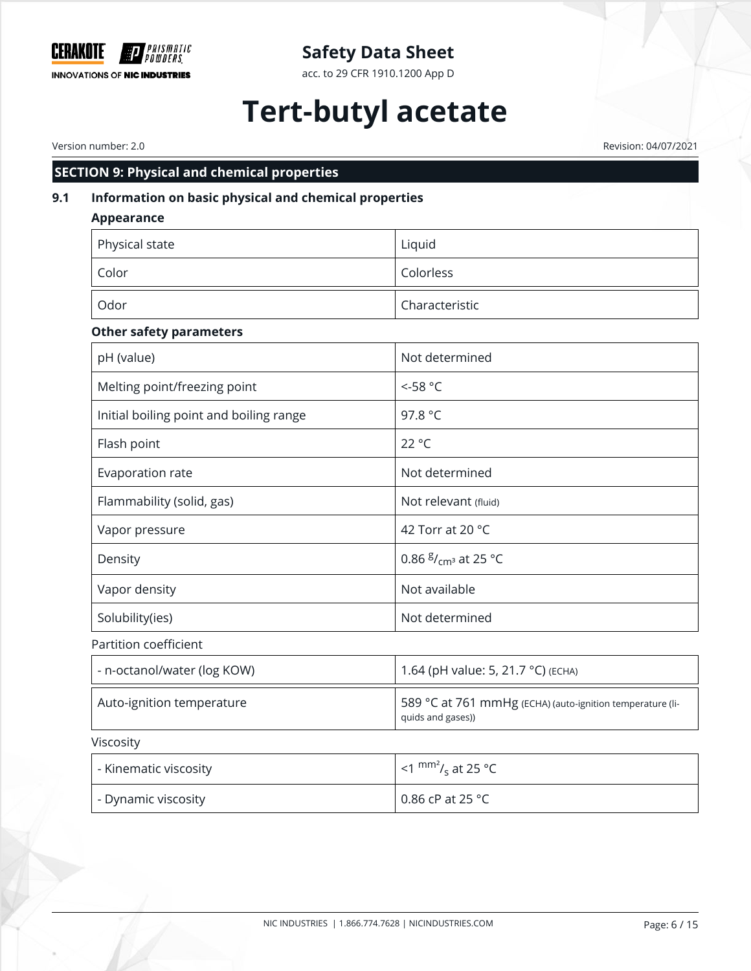

acc. to 29 CFR 1910.1200 App D

# **Tert-butyl acetate**

Version number: 2.0 Revision: 04/07/2021

## **SECTION 9: Physical and chemical properties**

## **9.1 Information on basic physical and chemical properties**

| <b>Appearance</b>                       |                                           |
|-----------------------------------------|-------------------------------------------|
| Physical state                          | Liquid                                    |
| Color                                   | Colorless                                 |
| Odor                                    | Characteristic                            |
| <b>Other safety parameters</b>          |                                           |
| pH (value)                              | Not determined                            |
| Melting point/freezing point            | $< -58$ °C                                |
| Initial boiling point and boiling range | 97.8 °C                                   |
| Flash point                             | 22 °C                                     |
| Evaporation rate                        | Not determined                            |
| Flammability (solid, gas)               | Not relevant (fluid)                      |
| Vapor pressure                          | 42 Torr at 20 °C                          |
| Density                                 | 0.86 $\frac{g}{cm}$ <sup>3</sup> at 25 °C |
| Vapor density                           | Not available                             |
| Solubility(ies)                         | Not determined                            |
| Partition coefficient                   |                                           |
| - n-octanol/water (log KOW)             | 1.64 (pH value: 5, 21.7 °C) (ECHA)        |
|                                         |                                           |

## Viscosity

| - Kinematic viscosity | $\leq$ 1 mm <sup>2</sup> / <sub>s</sub> at 25 °C |
|-----------------------|--------------------------------------------------|
| - Dynamic viscosity   | 0.86 cP at 25 °C                                 |

Auto-ignition temperature 11-1 and 589 °C at 761 mmHg (ECHA) (auto-ignition temperature (li-

quids and gases))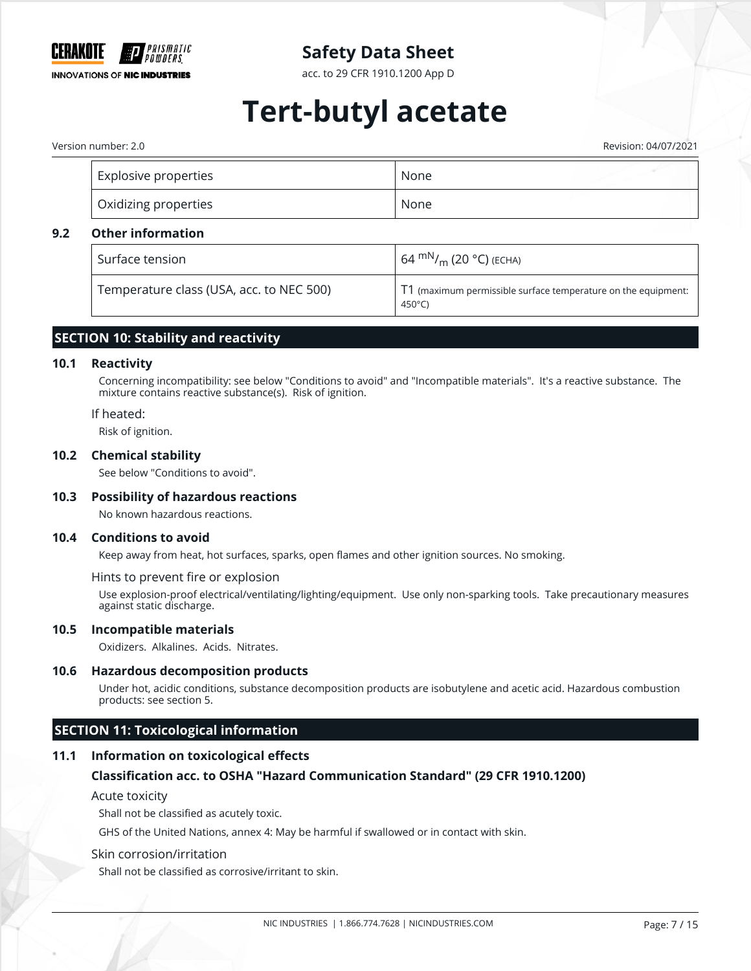

acc. to 29 CFR 1910.1200 App D

# **Tert-butyl acetate**

Version number: 2.0 Revision: 04/07/2021

| Explosive properties | None |
|----------------------|------|
| Oxidizing properties | None |

#### **9.2 Other information**

| Surface tension                          | 64 mN/ <sub>m</sub> (20 °C) (ECHA)                                                        |
|------------------------------------------|-------------------------------------------------------------------------------------------|
| Temperature class (USA, acc. to NEC 500) | $\mid$ T1 (maximum permissible surface temperature on the equipment:<br>450 $^{\circ}$ C) |

### **SECTION 10: Stability and reactivity**

#### **10.1 Reactivity**

Concerning incompatibility: see below "Conditions to avoid" and "Incompatible materials". It's a reactive substance. The mixture contains reactive substance(s). Risk of ignition.

#### If heated:

Risk of ignition.

#### **10.2 Chemical stability**

See below "Conditions to avoid".

#### **10.3 Possibility of hazardous reactions**

No known hazardous reactions.

#### **10.4 Conditions to avoid**

Keep away from heat, hot surfaces, sparks, open flames and other ignition sources. No smoking.

Hints to prevent fire or explosion

Use explosion-proof electrical/ventilating/lighting/equipment. Use only non-sparking tools. Take precautionary measures against static discharge.

#### **10.5 Incompatible materials**

Oxidizers. Alkalines. Acids. Nitrates.

#### **10.6 Hazardous decomposition products**

Under hot, acidic conditions, substance decomposition products are isobutylene and acetic acid. Hazardous combustion products: see section 5.

### **SECTION 11: Toxicological information**

#### **11.1 Information on toxicological effects**

#### **Classification acc. to OSHA "Hazard Communication Standard" (29 CFR 1910.1200)**

#### Acute toxicity

Shall not be classified as acutely toxic.

GHS of the United Nations, annex 4: May be harmful if swallowed or in contact with skin.

#### Skin corrosion/irritation

Shall not be classified as corrosive/irritant to skin.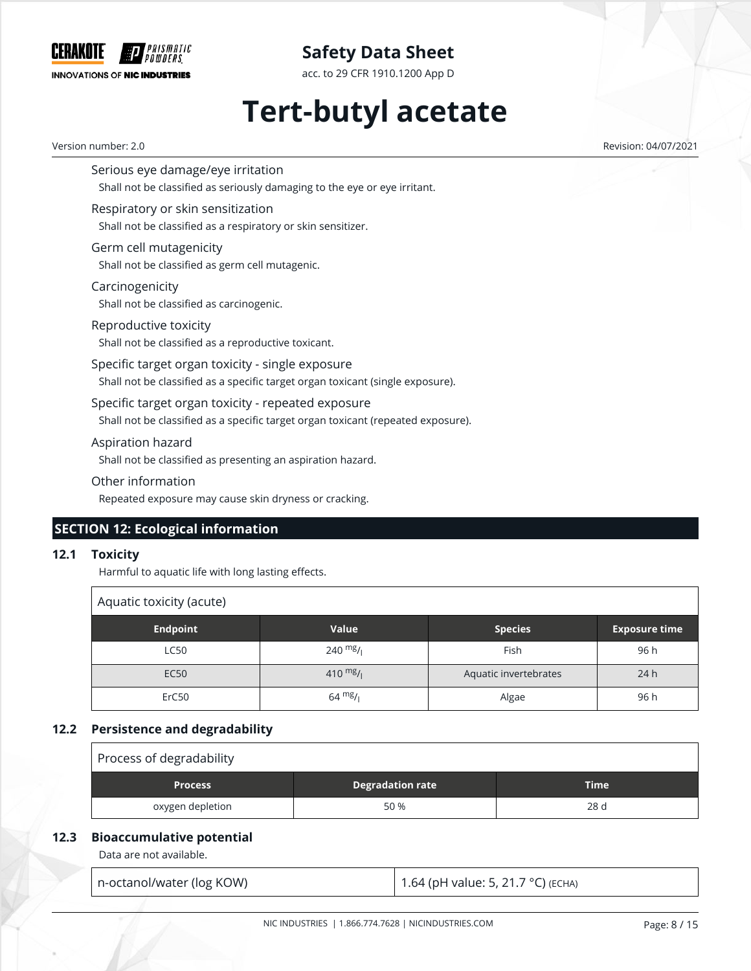

acc. to 29 CFR 1910.1200 App D

# **Tert-butyl acetate**

Version number: 2.0 Revision: 04/07/2021

Serious eye damage/eye irritation Shall not be classified as seriously damaging to the eye or eye irritant.

Respiratory or skin sensitization Shall not be classified as a respiratory or skin sensitizer.

Germ cell mutagenicity Shall not be classified as germ cell mutagenic.

Carcinogenicity Shall not be classified as carcinogenic.

Reproductive toxicity Shall not be classified as a reproductive toxicant.

Specific target organ toxicity - single exposure Shall not be classified as a specific target organ toxicant (single exposure).

Specific target organ toxicity - repeated exposure

Shall not be classified as a specific target organ toxicant (repeated exposure).

Aspiration hazard

Shall not be classified as presenting an aspiration hazard.

Other information

Repeated exposure may cause skin dryness or cracking.

## **SECTION 12: Ecological information**

#### **12.1 Toxicity**

Harmful to aquatic life with long lasting effects.

| Aquatic toxicity (acute) |                   |                       |                      |  |  |
|--------------------------|-------------------|-----------------------|----------------------|--|--|
| <b>Endpoint</b>          | Value             | <b>Species</b>        | <b>Exposure time</b> |  |  |
| <b>LC50</b>              | 240 $mg/1$        | Fish                  | 96 h                 |  |  |
| <b>EC50</b>              | 410 $mg/$         | Aquatic invertebrates | 24h                  |  |  |
| ErC50                    | $64 \frac{mg}{l}$ | Algae                 | 96 h                 |  |  |

#### **12.2 Persistence and degradability**

| Process of degradability |                         |             |  |  |
|--------------------------|-------------------------|-------------|--|--|
| <b>Process</b>           | <b>Degradation rate</b> | <b>Time</b> |  |  |
| oxygen depletion         | 50 %                    | 28 d        |  |  |

### **12.3 Bioaccumulative potential**

Data are not available.

n-octanol/water (log KOW) 1.64 (pH value: 5, 21.7 °C) (ECHA)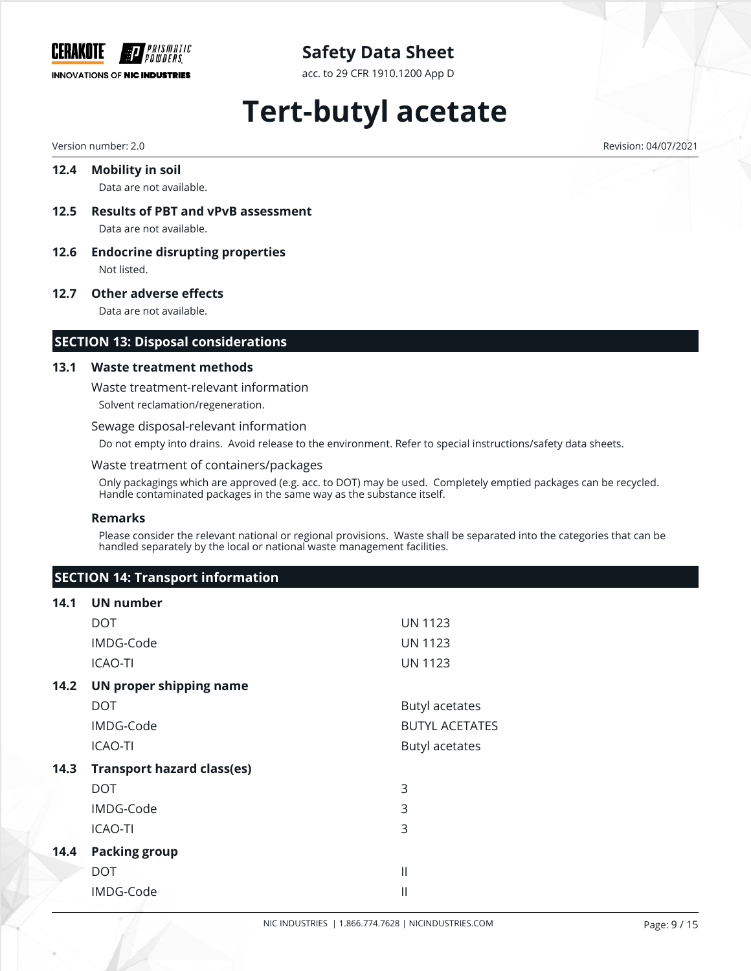

acc. to 29 CFR 1910.1200 App D

# **Tert-butyl acetate**

#### **12.4 Mobility in soil**

Data are not available.

**12.5 Results of PBT and vPvB assessment** Data are not available.

**12.6 Endocrine disrupting properties**

Not listed.

#### **12.7 Other adverse effects**

Data are not available.

#### **SECTION 13: Disposal considerations**

#### **13.1 Waste treatment methods**

Waste treatment-relevant information Solvent reclamation/regeneration.

#### Sewage disposal-relevant information

Do not empty into drains. Avoid release to the environment. Refer to special instructions/safety data sheets.

#### Waste treatment of containers/packages

Only packagings which are approved (e.g. acc. to DOT) may be used. Completely emptied packages can be recycled. Handle contaminated packages in the same way as the substance itself.

#### **Remarks**

Please consider the relevant national or regional provisions. Waste shall be separated into the categories that can be handled separately by the local or national waste management facilities.

|      | <b>SECTION 14: Transport information</b> |                       |  |  |  |  |  |
|------|------------------------------------------|-----------------------|--|--|--|--|--|
| 14.1 | <b>UN number</b>                         |                       |  |  |  |  |  |
|      | <b>DOT</b>                               | <b>UN 1123</b>        |  |  |  |  |  |
|      | IMDG-Code                                | <b>UN 1123</b>        |  |  |  |  |  |
|      | <b>ICAO-TI</b>                           | <b>UN 1123</b>        |  |  |  |  |  |
| 14.2 | UN proper shipping name                  |                       |  |  |  |  |  |
|      | <b>DOT</b>                               | <b>Butyl acetates</b> |  |  |  |  |  |
|      | IMDG-Code                                | <b>BUTYL ACETATES</b> |  |  |  |  |  |
|      | ICAO-TI                                  | Butyl acetates        |  |  |  |  |  |
| 14.3 | <b>Transport hazard class(es)</b>        |                       |  |  |  |  |  |
|      | <b>DOT</b>                               | 3                     |  |  |  |  |  |
|      | IMDG-Code                                | 3                     |  |  |  |  |  |
|      | <b>ICAO-TI</b>                           | 3                     |  |  |  |  |  |
| 14.4 | <b>Packing group</b>                     |                       |  |  |  |  |  |
|      | <b>DOT</b>                               | $\mathbf{  }$         |  |  |  |  |  |
|      | IMDG-Code                                | $\mathbf{  }$         |  |  |  |  |  |

Version number: 2.0 Revision: 04/07/2021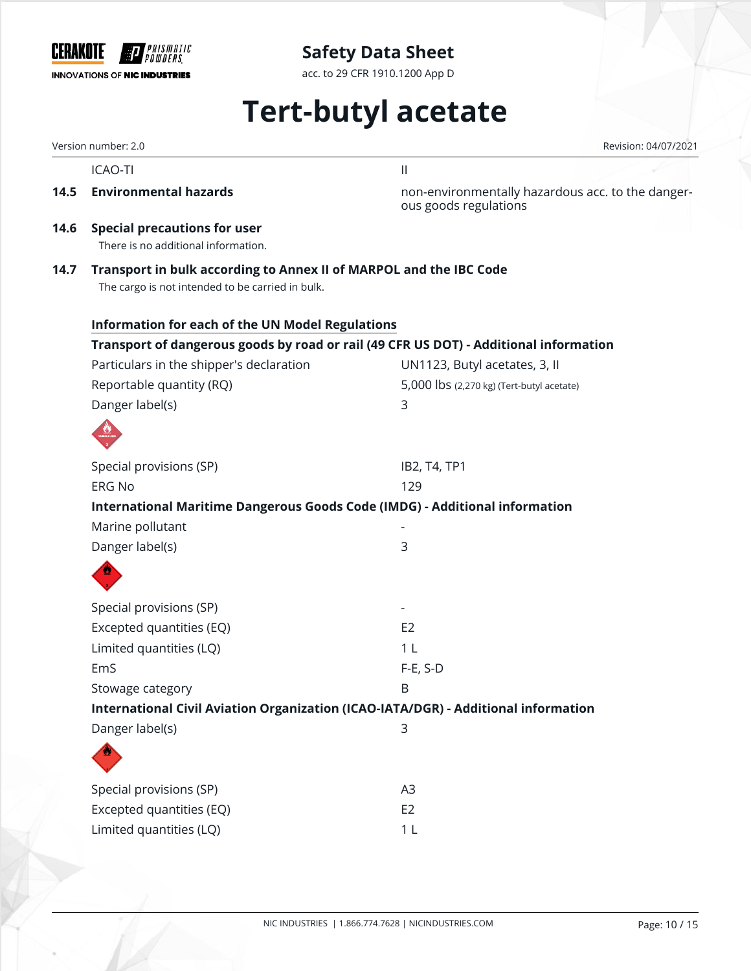

acc. to 29 CFR 1910.1200 App D

# **Tert-butyl acetate**

Version number: 2.0 Revision: 04/07/2021

ICAO-TI III in a strong structure and the structure of the structure of the structure of the structure of the structure of the structure of the structure of the structure of the structure of the structure of the structure

**14.5 Environmental hazards 14.5 Environmentally hazardous acc. to the danger**ous goods regulations

**14.6 Special precautions for user**

There is no additional information.

**14.7 Transport in bulk according to Annex II of MARPOL and the IBC Code**

The cargo is not intended to be carried in bulk.

| <b>Information for each of the UN Model Regulations</b>                               |                                           |
|---------------------------------------------------------------------------------------|-------------------------------------------|
| Transport of dangerous goods by road or rail (49 CFR US DOT) - Additional information |                                           |
| Particulars in the shipper's declaration                                              | UN1123, Butyl acetates, 3, II             |
| Reportable quantity (RQ)                                                              | 5,000 lbs (2,270 kg) (Tert-butyl acetate) |
| Danger label(s)                                                                       | 3                                         |
|                                                                                       |                                           |
| Special provisions (SP)                                                               | IB2, T4, TP1                              |
| <b>ERG No</b>                                                                         | 129                                       |
| International Maritime Dangerous Goods Code (IMDG) - Additional information           |                                           |
| Marine pollutant                                                                      |                                           |
| Danger label(s)                                                                       | 3                                         |
|                                                                                       |                                           |
| Special provisions (SP)                                                               |                                           |
| Excepted quantities (EQ)                                                              | E <sub>2</sub>                            |
| Limited quantities (LQ)                                                               | 1 <sub>L</sub>                            |
| EmS                                                                                   | $F-E$ , S-D                               |
| Stowage category                                                                      | B                                         |
| International Civil Aviation Organization (ICAO-IATA/DGR) - Additional information    |                                           |
| Danger label(s)                                                                       | 3                                         |
|                                                                                       |                                           |
| Special provisions (SP)                                                               | A3                                        |
| Excepted quantities (EQ)                                                              | E <sub>2</sub>                            |
| Limited quantities (LQ)                                                               | 1 <sub>L</sub>                            |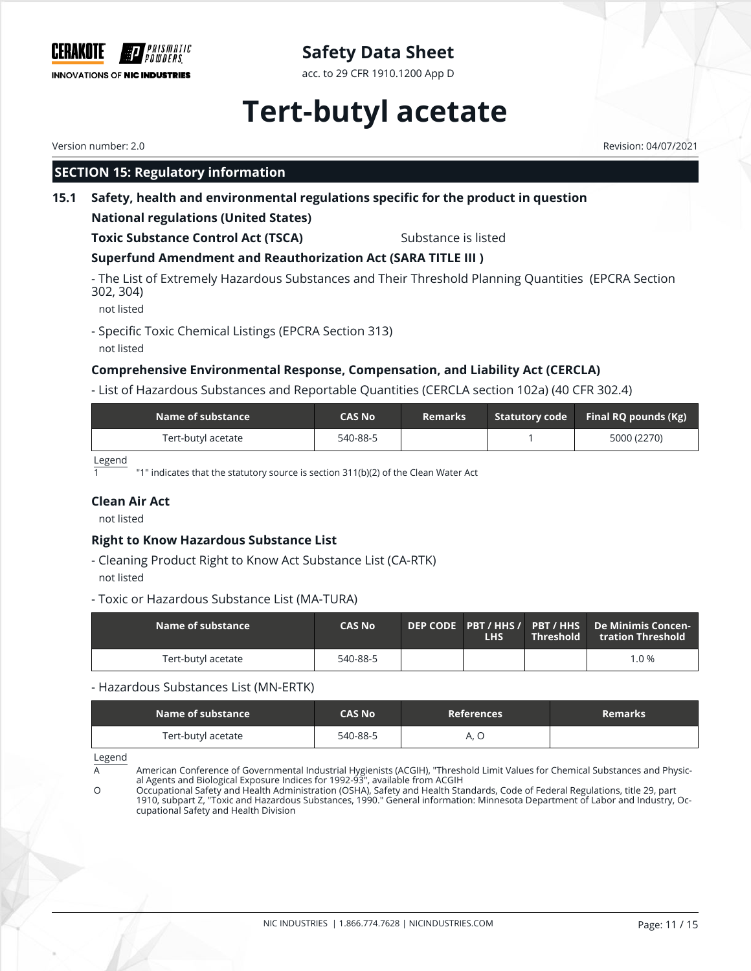

acc. to 29 CFR 1910.1200 App D

# **Tert-butyl acetate**

## **SECTION 15: Regulatory information**

**15.1 Safety, health and environmental regulations specific for the product in question**

### **National regulations (United States)**

**Toxic Substance Control Act (TSCA)** Substance is listed

## **Superfund Amendment and Reauthorization Act (SARA TITLE III )**

- The List of Extremely Hazardous Substances and Their Threshold Planning Quantities (EPCRA Section 302, 304)

not listed

- Specific Toxic Chemical Listings (EPCRA Section 313) not listed

## **Comprehensive Environmental Response, Compensation, and Liability Act (CERCLA)**

- List of Hazardous Substances and Reportable Quantities (CERCLA section 102a) (40 CFR 302.4)

| Name of substance  | <b>CAS No</b> | <b>Remarks</b> | Statutory code Final RQ pounds (Kg) |
|--------------------|---------------|----------------|-------------------------------------|
| Tert-butyl acetate | 540-88-5      |                | 5000 (2270)                         |

Legend

"1" indicates that the statutory source is section 311(b)(2) of the Clean Water Act

#### **Clean Air Act**

not listed

### **Right to Know Hazardous Substance List**

- Cleaning Product Right to Know Act Substance List (CA-RTK)
- not listed
- Toxic or Hazardous Substance List (MA-TURA)

| Name of substance  | <b>CAS No</b> | <b>LHS</b> | <b>Threshold</b> | tration Threshold |
|--------------------|---------------|------------|------------------|-------------------|
| Tert-butyl acetate | 540-88-5      |            |                  | $1.0 \%$          |

#### - Hazardous Substances List (MN-ERTK)

| Name of substance  | CAS No   | <b>References</b> | <b>Remarks</b> |
|--------------------|----------|-------------------|----------------|
| Tert-butyl acetate | 540-88-5 |                   |                |

Legend

A Computer Conference of Governmental Industrial Hygienists (ACGIH), "Threshold Limit Values for Chemical Substances and Physical Agents and Biological Exposure Indices for 1992-93", available from ACGIH

O Occupational Safety and Health Administration (OSHA), Safety and Health Standards, Code of Federal Regulations, title 29, part 1910, subpart Z, "Toxic and Hazardous Substances, 1990." General information: Minnesota Department of Labor and Industry, Occupational Safety and Health Division

Version number: 2.0 Revision: 04/07/2021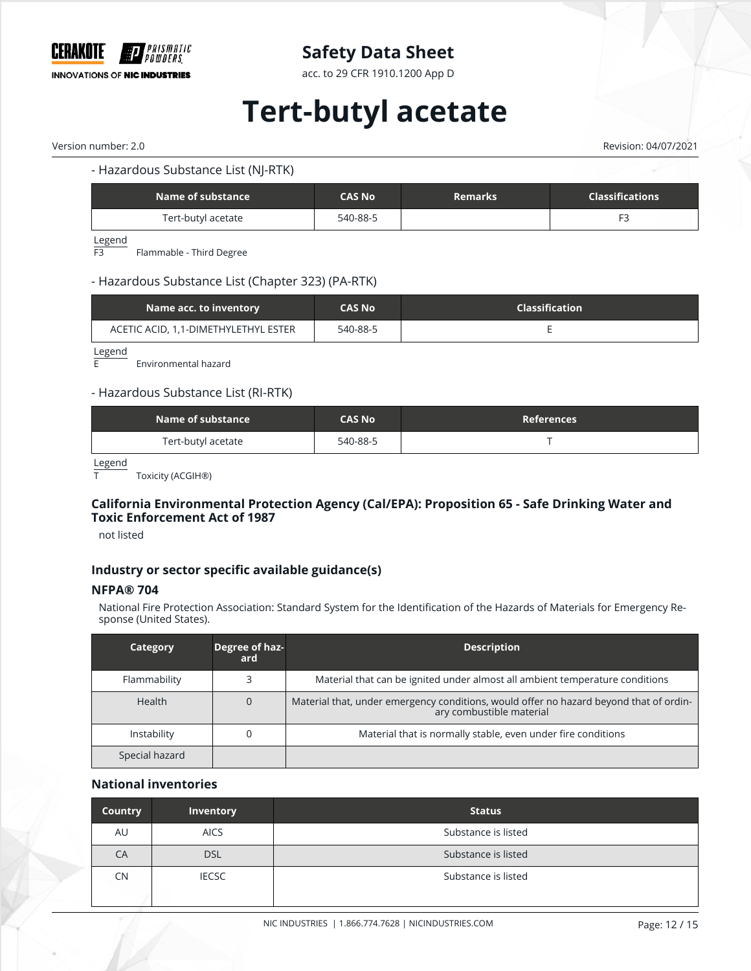

acc. to 29 CFR 1910.1200 App D

# **Tert-butyl acetate**

Version number: 2.0 Revision: 04/07/2021

#### - Hazardous Substance List (NJ-RTK)

| Name of substance  | <b>CAS No</b> | <b>Remarks</b> | <b>Classifications</b> |
|--------------------|---------------|----------------|------------------------|
| Tert-butyl acetate | 540-88-5      |                |                        |

Legend

F3 Flammable - Third Degree

#### - Hazardous Substance List (Chapter 323) (PA-RTK)

| Name acc. to inventory <b>b</b>      | <b>CAS No</b> | <b>Classification</b> |
|--------------------------------------|---------------|-----------------------|
| ACETIC ACID, 1,1-DIMETHYLETHYL ESTER | 540-88-5      |                       |

 $L$ egend

Environmental hazard

#### - Hazardous Substance List (RI-RTK)

| Name of substance  | <b>CAS No</b> | <b>References</b> |
|--------------------|---------------|-------------------|
| Tert-butyl acetate | 540-88-5      |                   |

Legend

T Toxicity (ACGIH®)

#### **California Environmental Protection Agency (Cal/EPA): Proposition 65 - Safe Drinking Water and Toxic Enforcement Act of 1987**

not listed

#### **Industry or sector specific available guidance(s)**

#### **NFPA® 704**

National Fire Protection Association: Standard System for the Identification of the Hazards of Materials for Emergency Response (United States).

| Category       | Degree of haz-<br>ard | <b>Description</b>                                                                                                 |
|----------------|-----------------------|--------------------------------------------------------------------------------------------------------------------|
| Flammability   |                       | Material that can be ignited under almost all ambient temperature conditions                                       |
| Health         |                       | Material that, under emergency conditions, would offer no hazard beyond that of ordin-<br>ary combustible material |
| Instability    |                       | Material that is normally stable, even under fire conditions                                                       |
| Special hazard |                       |                                                                                                                    |

#### **National inventories**

| Country   | Inventory    | <b>Status</b>       |
|-----------|--------------|---------------------|
| AU        | <b>AICS</b>  | Substance is listed |
| CA        | <b>DSL</b>   | Substance is listed |
| <b>CN</b> | <b>IECSC</b> | Substance is listed |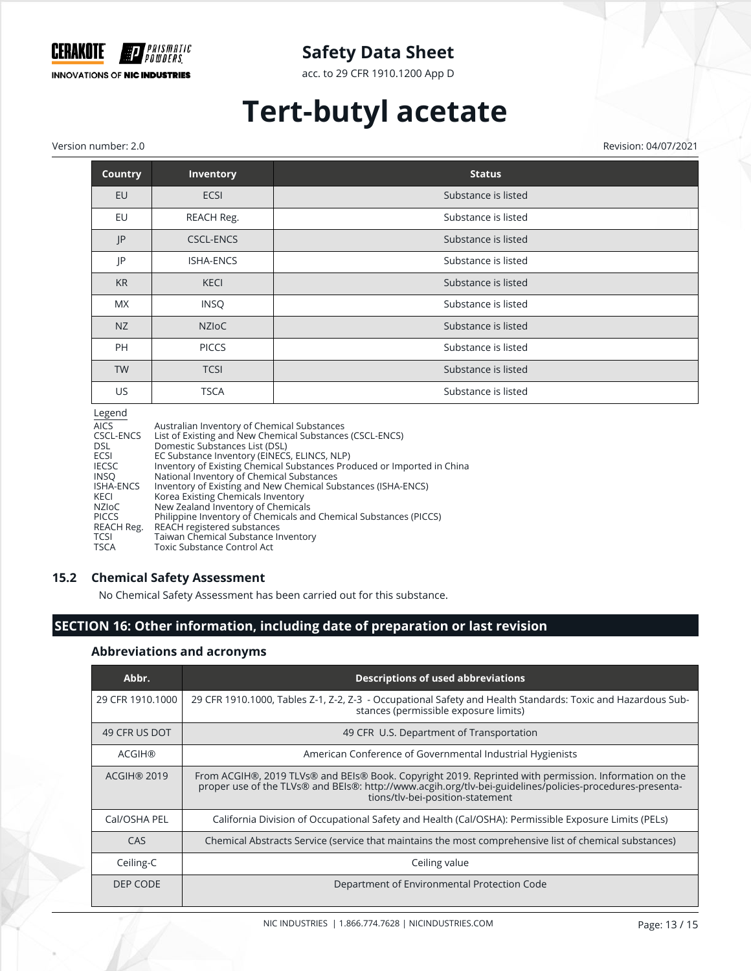

acc. to 29 CFR 1910.1200 App D

# **Tert-butyl acetate**

Version number: 2.0 Revision: 04/07/2021

| <b>Country</b> | Inventory        | <b>Status</b>       |
|----------------|------------------|---------------------|
| EU             | <b>ECSI</b>      | Substance is listed |
| EU             | REACH Reg.       | Substance is listed |
| JP             | <b>CSCL-ENCS</b> | Substance is listed |
| JP             | <b>ISHA-ENCS</b> | Substance is listed |
| <b>KR</b>      | <b>KECI</b>      | Substance is listed |
| <b>MX</b>      | <b>INSQ</b>      | Substance is listed |
| NZ             | <b>NZIOC</b>     | Substance is listed |
| PH             | <b>PICCS</b>     | Substance is listed |
| <b>TW</b>      | <b>TCSI</b>      | Substance is listed |
| US             | <b>TSCA</b>      | Substance is listed |
| المصمصا        |                  |                     |

Legend

| Legend       |                                                                         |
|--------------|-------------------------------------------------------------------------|
| <b>AICS</b>  | Australian Inventory of Chemical Substances                             |
| CSCL-ENCS    | List of Existing and New Chemical Substances (CSCL-ENCS)                |
| <b>DSL</b>   | Domestic Substances List (DSL)                                          |
| ECSI         | EC Substance Inventory (EINECS, ELINCS, NLP)                            |
| <b>IECSC</b> | Inventory of Existing Chemical Substances Produced or Imported in China |
| <b>INSO</b>  | National Inventory of Chemical Substances                               |
| ISHA-ENCS    | Inventory of Existing and New Chemical Substances (ISHA-ENCS)           |
| KECI         | Korea Existing Chemicals Inventory                                      |
| NZIoC        | New Zealand Inventory of Chemicals                                      |
| <b>PICCS</b> | Philippine Inventory of Chemicals and Chemical Substances (PICCS)       |
| REACH Reg.   | REACH registered substances                                             |
| <b>TCSI</b>  | Taiwan Chemical Substance Inventory                                     |
| <b>TSCA</b>  | <b>Toxic Substance Control Act</b>                                      |
|              |                                                                         |

#### **15.2 Chemical Safety Assessment**

No Chemical Safety Assessment has been carried out for this substance.

## **SECTION 16: Other information, including date of preparation or last revision**

#### **Abbreviations and acronyms**

| Abbr.              | <b>Descriptions of used abbreviations</b>                                                                                                                                                                                                             |
|--------------------|-------------------------------------------------------------------------------------------------------------------------------------------------------------------------------------------------------------------------------------------------------|
| 29 CFR 1910.1000   | 29 CFR 1910.1000, Tables Z-1, Z-2, Z-3 - Occupational Safety and Health Standards: Toxic and Hazardous Sub-<br>stances (permissible exposure limits)                                                                                                  |
| 49 CFR US DOT      | 49 CFR U.S. Department of Transportation                                                                                                                                                                                                              |
| <b>ACGIH®</b>      | American Conference of Governmental Industrial Hygienists                                                                                                                                                                                             |
| <b>ACGIH® 2019</b> | From ACGIH®, 2019 TLVs® and BEIs® Book. Copyright 2019. Reprinted with permission. Information on the<br>proper use of the TLVs® and BEIs®: http://www.acgih.org/tlv-bei-guidelines/policies-procedures-presenta-<br>tions/tlv-bei-position-statement |
| Cal/OSHA PEL       | California Division of Occupational Safety and Health (Cal/OSHA): Permissible Exposure Limits (PELs)                                                                                                                                                  |
| CAS                | Chemical Abstracts Service (service that maintains the most comprehensive list of chemical substances)                                                                                                                                                |
| Ceiling-C          | Ceiling value                                                                                                                                                                                                                                         |
| DEP CODE           | Department of Environmental Protection Code                                                                                                                                                                                                           |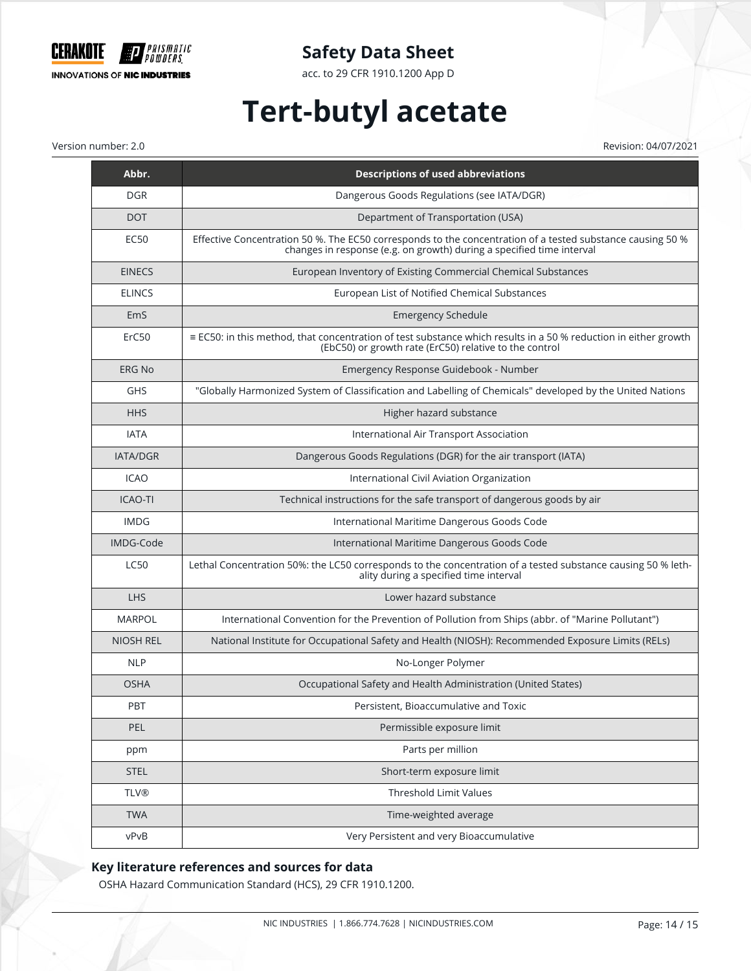

acc. to 29 CFR 1910.1200 App D

# **Tert-butyl acetate**

Version number: 2.0 Revision: 04/07/2021

| Abbr.            | <b>Descriptions of used abbreviations</b>                                                                                                                                           |
|------------------|-------------------------------------------------------------------------------------------------------------------------------------------------------------------------------------|
| <b>DGR</b>       | Dangerous Goods Regulations (see IATA/DGR)                                                                                                                                          |
| <b>DOT</b>       | Department of Transportation (USA)                                                                                                                                                  |
| EC50             | Effective Concentration 50 %. The EC50 corresponds to the concentration of a tested substance causing 50 %<br>changes in response (e.g. on growth) during a specified time interval |
| <b>EINECS</b>    | European Inventory of Existing Commercial Chemical Substances                                                                                                                       |
| <b>ELINCS</b>    | European List of Notified Chemical Substances                                                                                                                                       |
| EmS              | <b>Emergency Schedule</b>                                                                                                                                                           |
| ErC50            | ≡ EC50: in this method, that concentration of test substance which results in a 50 % reduction in either growth<br>(EbC50) or growth rate (ErC50) relative to the control           |
| <b>ERG No</b>    | Emergency Response Guidebook - Number                                                                                                                                               |
| <b>GHS</b>       | "Globally Harmonized System of Classification and Labelling of Chemicals" developed by the United Nations                                                                           |
| <b>HHS</b>       | Higher hazard substance                                                                                                                                                             |
| <b>IATA</b>      | International Air Transport Association                                                                                                                                             |
| <b>IATA/DGR</b>  | Dangerous Goods Regulations (DGR) for the air transport (IATA)                                                                                                                      |
| <b>ICAO</b>      | International Civil Aviation Organization                                                                                                                                           |
| <b>ICAO-TI</b>   | Technical instructions for the safe transport of dangerous goods by air                                                                                                             |
| <b>IMDG</b>      | International Maritime Dangerous Goods Code                                                                                                                                         |
| IMDG-Code        | International Maritime Dangerous Goods Code                                                                                                                                         |
| <b>LC50</b>      | Lethal Concentration 50%: the LC50 corresponds to the concentration of a tested substance causing 50 % leth-<br>ality during a specified time interval                              |
| <b>LHS</b>       | Lower hazard substance                                                                                                                                                              |
| <b>MARPOL</b>    | International Convention for the Prevention of Pollution from Ships (abbr. of "Marine Pollutant")                                                                                   |
| <b>NIOSH REL</b> | National Institute for Occupational Safety and Health (NIOSH): Recommended Exposure Limits (RELs)                                                                                   |
| <b>NLP</b>       | No-Longer Polymer                                                                                                                                                                   |
| <b>OSHA</b>      | Occupational Safety and Health Administration (United States)                                                                                                                       |
| <b>PBT</b>       | Persistent, Bioaccumulative and Toxic                                                                                                                                               |
| PEL              | Permissible exposure limit                                                                                                                                                          |
| ppm              | Parts per million                                                                                                                                                                   |
| <b>STEL</b>      | Short-term exposure limit                                                                                                                                                           |
| <b>TLV®</b>      | Threshold Limit Values                                                                                                                                                              |
| <b>TWA</b>       | Time-weighted average                                                                                                                                                               |
| vPvB             | Very Persistent and very Bioaccumulative                                                                                                                                            |

## **Key literature references and sources for data**

OSHA Hazard Communication Standard (HCS), 29 CFR 1910.1200.